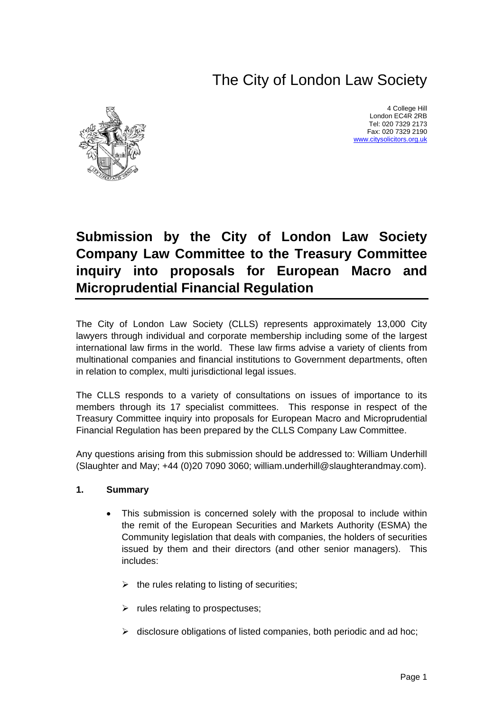# The City of London Law Society



4 College Hill London EC4R 2RB Tel: 020 7329 2173 Fax: 020 7329 2190 [www.citysolicitors.org.uk](http://www.citysolicitors.org.uk/)

# **Submission by the City of London Law Society Company Law Committee to the Treasury Committee inquiry into proposals for European Macro and Microprudential Financial Regulation**

The City of London Law Society (CLLS) represents approximately 13,000 City lawyers through individual and corporate membership including some of the largest international law firms in the world. These law firms advise a variety of clients from multinational companies and financial institutions to Government departments, often in relation to complex, multi jurisdictional legal issues.

The CLLS responds to a variety of consultations on issues of importance to its members through its 17 specialist committees. This response in respect of the Treasury Committee inquiry into proposals for European Macro and Microprudential Financial Regulation has been prepared by the CLLS Company Law Committee.

Any questions arising from this submission should be addressed to: William Underhill (Slaughter and May; +44 (0)20 7090 3060; william.underhill@slaughterandmay.com).

#### **1. Summary**

- This submission is concerned solely with the proposal to include within the remit of the European Securities and Markets Authority (ESMA) the Community legislation that deals with companies, the holders of securities issued by them and their directors (and other senior managers). This includes:
	- $\triangleright$  the rules relating to listing of securities;
	- $\triangleright$  rules relating to prospectuses:
	- $\triangleright$  disclosure obligations of listed companies, both periodic and ad hoc;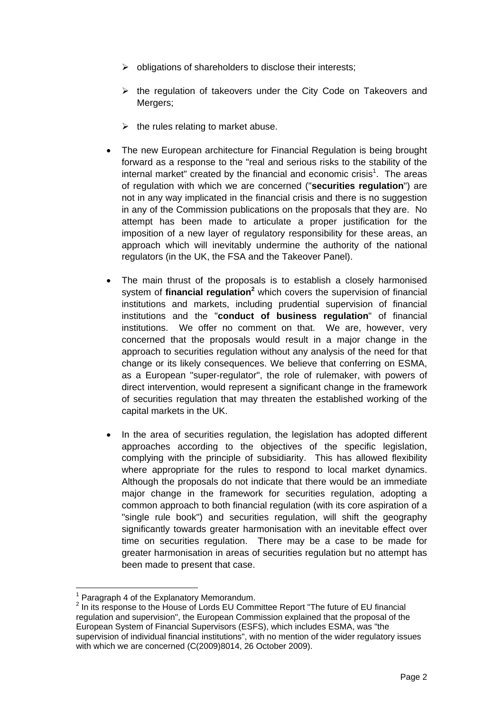- $\triangleright$  obligations of shareholders to disclose their interests;
- $\triangleright$  the regulation of takeovers under the City Code on Takeovers and Mergers;
- $\triangleright$  the rules relating to market abuse.
- The new European architecture for Financial Regulation is being brought forward as a response to the "real and serious risks to the stability of the internal market" created by the financial and economic crisis<sup>[1](#page-1-0)</sup>. The areas of regulation with which we are concerned ("**securities regulation**") are not in any way implicated in the financial crisis and there is no suggestion in any of the Commission publications on the proposals that they are. No attempt has been made to articulate a proper justification for the imposition of a new layer of regulatory responsibility for these areas, an approach which will inevitably undermine the authority of the national regulators (in the UK, the FSA and the Takeover Panel).
- The main thrust of the proposals is to establish a closely harmonised system of *financial regulation<sup>[2](#page-1-1)</sup>* which covers the supervision of financial institutions and markets, including prudential supervision of financial institutions and the "**conduct of business regulation**" of financial institutions. We offer no comment on that. We are, however, very concerned that the proposals would result in a major change in the approach to securities regulation without any analysis of the need for that change or its likely consequences. We believe that conferring on ESMA, as a European "super-regulator", the role of rulemaker, with powers of direct intervention, would represent a significant change in the framework of securities regulation that may threaten the established working of the capital markets in the UK.
- In the area of securities regulation, the legislation has adopted different approaches according to the objectives of the specific legislation, complying with the principle of subsidiarity. This has allowed flexibility where appropriate for the rules to respond to local market dynamics. Although the proposals do not indicate that there would be an immediate major change in the framework for securities regulation, adopting a common approach to both financial regulation (with its core aspiration of a "single rule book") and securities regulation, will shift the geography significantly towards greater harmonisation with an inevitable effect over time on securities regulation. There may be a case to be made for greater harmonisation in areas of securities regulation but no attempt has been made to present that case.

<span id="page-1-0"></span> <sup>1</sup> Paragraph 4 of the Explanatory Memorandum.

<span id="page-1-1"></span><sup>&</sup>lt;sup>2</sup> In its response to the House of Lords EU Committee Report "The future of EU financial regulation and supervision", the European Commission explained that the proposal of the European System of Financial Supervisors (ESFS), which includes ESMA, was "the supervision of individual financial institutions", with no mention of the wider regulatory issues with which we are concerned (C(2009)8014, 26 October 2009).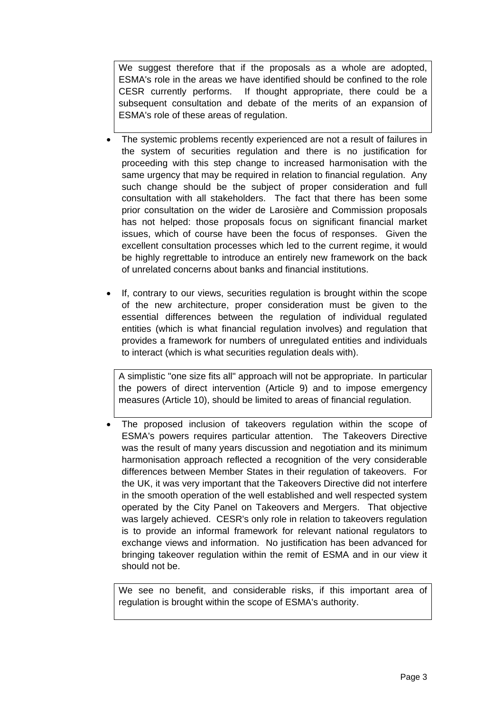We suggest therefore that if the proposals as a whole are adopted, ESMA's role in the areas we have identified should be confined to the role CESR currently performs. If thought appropriate, there could be a subsequent consultation and debate of the merits of an expansion of ESMA's role of these areas of regulation.

- The systemic problems recently experienced are not a result of failures in the system of securities regulation and there is no justification for proceeding with this step change to increased harmonisation with the same urgency that may be required in relation to financial regulation. Any such change should be the subject of proper consideration and full consultation with all stakeholders. The fact that there has been some prior consultation on the wider de Larosière and Commission proposals has not helped: those proposals focus on significant financial market issues, which of course have been the focus of responses. Given the excellent consultation processes which led to the current regime, it would be highly regrettable to introduce an entirely new framework on the back of unrelated concerns about banks and financial institutions.
- If, contrary to our views, securities regulation is brought within the scope of the new architecture, proper consideration must be given to the essential differences between the regulation of individual regulated entities (which is what financial regulation involves) and regulation that provides a framework for numbers of unregulated entities and individuals to interact (which is what securities regulation deals with).

A simplistic "one size fits all" approach will not be appropriate. In particular the powers of direct intervention (Article 9) and to impose emergency measures (Article 10), should be limited to areas of financial regulation.

The proposed inclusion of takeovers regulation within the scope of ESMA's powers requires particular attention. The Takeovers Directive was the result of many years discussion and negotiation and its minimum harmonisation approach reflected a recognition of the very considerable differences between Member States in their regulation of takeovers. For the UK, it was very important that the Takeovers Directive did not interfere in the smooth operation of the well established and well respected system operated by the City Panel on Takeovers and Mergers. That objective was largely achieved. CESR's only role in relation to takeovers regulation is to provide an informal framework for relevant national regulators to exchange views and information. No justification has been advanced for bringing takeover regulation within the remit of ESMA and in our view it should not be.

We see no benefit, and considerable risks, if this important area of regulation is brought within the scope of ESMA's authority.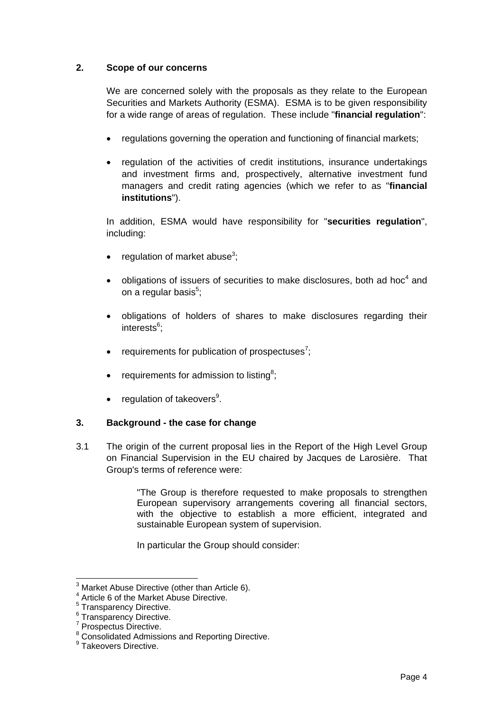# **2. Scope of our concerns**

We are concerned solely with the proposals as they relate to the European Securities and Markets Authority (ESMA). ESMA is to be given responsibility for a wide range of areas of regulation. These include "**financial regulation**":

- regulations governing the operation and functioning of financial markets;
- regulation of the activities of credit institutions, insurance undertakings and investment firms and, prospectively, alternative investment fund managers and credit rating agencies (which we refer to as "**financial institutions**").

In addition, ESMA would have responsibility for "**securities regulation**", including:

- regulation of market abuse<sup>[3](#page-3-0)</sup>;
- obligations of issuers of securities to make disclosures, both ad hoc<sup>[4](#page-3-1)</sup> and on a regular basis<sup>[5](#page-3-2)</sup>;
- obligations of holders of shares to make disclosures regarding their interests<sup>[6](#page-3-3)</sup>;
- requirements for publication of prospectuses<sup>[7](#page-3-4)</sup>;
- requirements for admission to listing<sup>[8](#page-3-5)</sup>;
- regulation of takeovers<sup>[9](#page-3-6)</sup>.

#### **3. Background - the case for change**

3.1 The origin of the current proposal lies in the Report of the High Level Group on Financial Supervision in the EU chaired by Jacques de Larosière. That Group's terms of reference were:

> "The Group is therefore requested to make proposals to strengthen European supervisory arrangements covering all financial sectors, with the objective to establish a more efficient, integrated and sustainable European system of supervision.

In particular the Group should consider:

<span id="page-3-0"></span> <sup>3</sup> Market Abuse Directive (other than Article 6).

<span id="page-3-1"></span><sup>&</sup>lt;sup>4</sup> Article 6 of the Market Abuse Directive.

<span id="page-3-2"></span><sup>&</sup>lt;sup>5</sup> Transparency Directive.

<span id="page-3-3"></span><sup>6</sup> Transparency Directive.

<span id="page-3-4"></span><sup>&</sup>lt;sup>7</sup> Prospectus Directive.

<span id="page-3-5"></span><sup>&</sup>lt;sup>8</sup> Consolidated Admissions and Reporting Directive.

<span id="page-3-6"></span><sup>&</sup>lt;sup>9</sup> Takeovers Directive.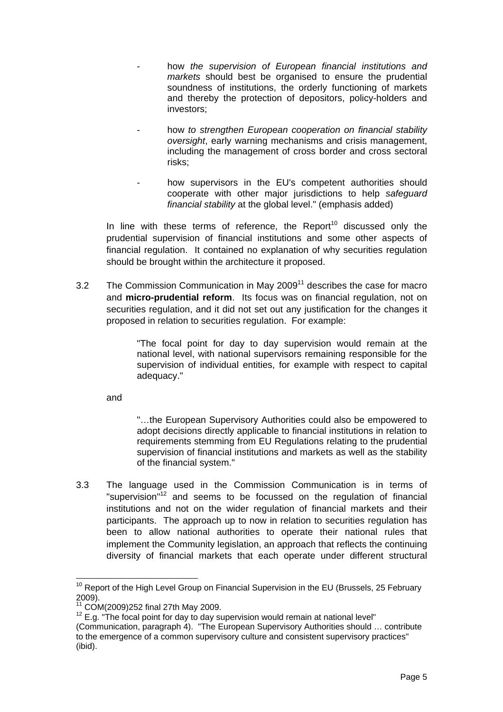- how *the supervision of European financial institutions and markets* should best be organised to ensure the prudential soundness of institutions, the orderly functioning of markets and thereby the protection of depositors, policy-holders and investors;
- how *to strengthen European cooperation on financial stability oversight*, early warning mechanisms and crisis management, including the management of cross border and cross sectoral risks;
- how supervisors in the EU's competent authorities should cooperate with other major jurisdictions to help *safeguard financial stability* at the global level." (emphasis added)

In line with these terms of reference, the Report<sup>10</sup> discussed only the prudential supervision of financial institutions and some other aspects of financial regulation. It contained no explanation of why securities regulation should be brought within the architecture it proposed.

3.2 The Commission Communication in May 2009<sup>[11](#page-4-1)</sup> describes the case for macro and **micro-prudential reform**. Its focus was on financial regulation, not on securities regulation, and it did not set out any justification for the changes it proposed in relation to securities regulation. For example:

> "The focal point for day to day supervision would remain at the national level, with national supervisors remaining responsible for the supervision of individual entities, for example with respect to capital adequacy."

and

"…the European Supervisory Authorities could also be empowered to adopt decisions directly applicable to financial institutions in relation to requirements stemming from EU Regulations relating to the prudential supervision of financial institutions and markets as well as the stability of the financial system."

3.3 The language used in the Commission Communication is in terms of "supervision"<sup>[12](#page-4-2)</sup> and seems to be focussed on the regulation of financial institutions and not on the wider regulation of financial markets and their participants. The approach up to now in relation to securities regulation has been to allow national authorities to operate their national rules that implement the Community legislation, an approach that reflects the continuing diversity of financial markets that each operate under different structural

<span id="page-4-0"></span> $10$  Report of the High Level Group on Financial Supervision in the EU (Brussels, 25 February 2009).<br><sup>11</sup> COM(2009)252 final 27th May 2009.

<span id="page-4-1"></span>

<span id="page-4-2"></span> $12$  E.g. "The focal point for day to day supervision would remain at national level"

<sup>(</sup>Communication, paragraph 4). "The European Supervisory Authorities should … contribute to the emergence of a common supervisory culture and consistent supervisory practices" (ibid).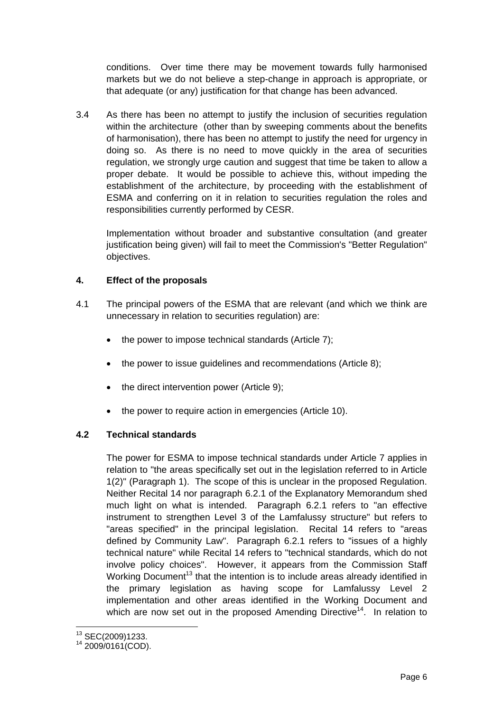conditions. Over time there may be movement towards fully harmonised markets but we do not believe a step-change in approach is appropriate, or that adequate (or any) justification for that change has been advanced.

3.4 As there has been no attempt to justify the inclusion of securities regulation within the architecture (other than by sweeping comments about the benefits of harmonisation), there has been no attempt to justify the need for urgency in doing so. As there is no need to move quickly in the area of securities regulation, we strongly urge caution and suggest that time be taken to allow a proper debate. It would be possible to achieve this, without impeding the establishment of the architecture, by proceeding with the establishment of ESMA and conferring on it in relation to securities regulation the roles and responsibilities currently performed by CESR.

Implementation without broader and substantive consultation (and greater justification being given) will fail to meet the Commission's "Better Regulation" objectives.

# **4. Effect of the proposals**

- 4.1 The principal powers of the ESMA that are relevant (and which we think are unnecessary in relation to securities regulation) are:
	- the power to impose technical standards (Article 7);
	- the power to issue quidelines and recommendations (Article 8);
	- the direct intervention power (Article 9);
	- the power to require action in emergencies (Article 10).

#### **4.2 Technical standards**

The power for ESMA to impose technical standards under Article 7 applies in relation to "the areas specifically set out in the legislation referred to in Article 1(2)" (Paragraph 1). The scope of this is unclear in the proposed Regulation. Neither Recital 14 nor paragraph 6.2.1 of the Explanatory Memorandum shed much light on what is intended. Paragraph 6.2.1 refers to "an effective instrument to strengthen Level 3 of the Lamfalussy structure" but refers to "areas specified" in the principal legislation. Recital 14 refers to "areas defined by Community Law". Paragraph 6.2.1 refers to "issues of a highly technical nature" while Recital 14 refers to "technical standards, which do not involve policy choices". However, it appears from the Commission Staff Working Document<sup>13</sup> that the intention is to include areas already identified in the primary legislation as having scope for Lamfalussy Level 2 implementation and other areas identified in the Working Document and which are now set out in the proposed Amending Directive<sup>14</sup>. In relation to

<span id="page-5-1"></span><span id="page-5-0"></span>

 $^{13}$  SEC(2009)1233.<br> $^{14}$  2009/0161(COD).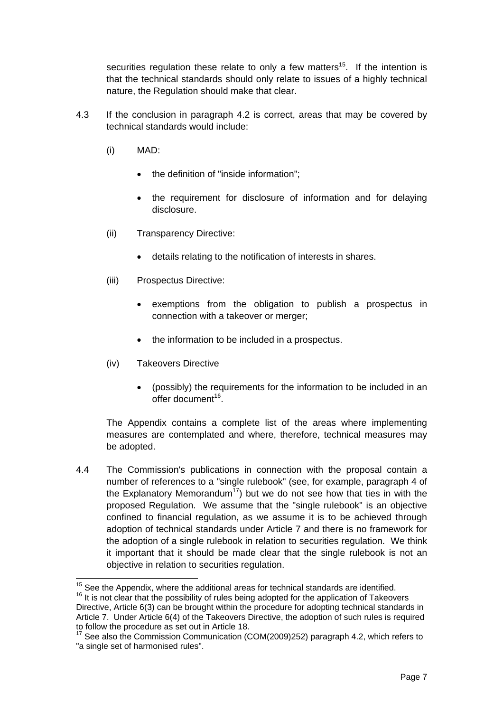securities regulation these relate to only a few matters<sup>15</sup>. If the intention is that the technical standards should only relate to issues of a highly technical nature, the Regulation should make that clear.

- 4.3 If the conclusion in paragraph 4.2 is correct, areas that may be covered by technical standards would include:
	- (i) MAD:
		- the definition of "inside information";
		- the requirement for disclosure of information and for delaying disclosure.
	- (ii) Transparency Directive:
		- details relating to the notification of interests in shares.
	- (iii) Prospectus Directive:
		- exemptions from the obligation to publish a prospectus in connection with a takeover or merger;
		- the information to be included in a prospectus.
	- (iv) Takeovers Directive
		- (possibly) the requirements for the information to be included in an offer document $16$

The Appendix contains a complete list of the areas where implementing measures are contemplated and where, therefore, technical measures may be adopted.

4.4 The Commission's publications in connection with the proposal contain a number of references to a "single rulebook" (see, for example, paragraph 4 of the Explanatory Memorandum<sup>17</sup>) but we do not see how that ties in with the proposed Regulation. We assume that the "single rulebook" is an objective confined to financial regulation, as we assume it is to be achieved through adoption of technical standards under Article 7 and there is no framework for the adoption of a single rulebook in relation to securities regulation. We think it important that it should be made clear that the single rulebook is not an objective in relation to securities regulation.

<span id="page-6-0"></span> $15$  See the Appendix, where the additional areas for technical standards are identified.

<span id="page-6-1"></span><sup>&</sup>lt;sup>16</sup> It is not clear that the possibility of rules being adopted for the application of Takeovers

Directive, Article 6(3) can be brought within the procedure for adopting technical standards in Article 7. Under Article 6(4) of the Takeovers Directive, the adoption of such rules is required to follow the procedure as set out in Article 18.

<span id="page-6-2"></span><sup>&</sup>lt;sup>17</sup> See also the Commission Communication (COM(2009)252) paragraph 4.2, which refers to "a single set of harmonised rules".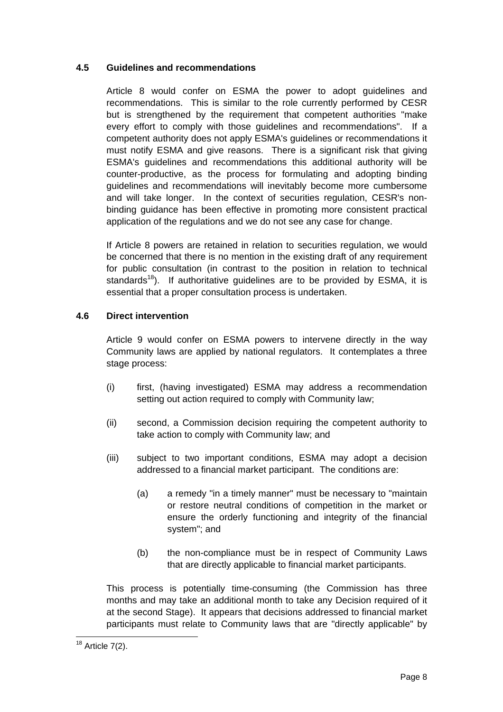# **4.5 Guidelines and recommendations**

Article 8 would confer on ESMA the power to adopt guidelines and recommendations. This is similar to the role currently performed by CESR but is strengthened by the requirement that competent authorities "make every effort to comply with those guidelines and recommendations". If a competent authority does not apply ESMA's guidelines or recommendations it must notify ESMA and give reasons. There is a significant risk that giving ESMA's guidelines and recommendations this additional authority will be counter-productive, as the process for formulating and adopting binding guidelines and recommendations will inevitably become more cumbersome and will take longer. In the context of securities regulation, CESR's nonbinding guidance has been effective in promoting more consistent practical application of the regulations and we do not see any case for change.

If Article 8 powers are retained in relation to securities regulation, we would be concerned that there is no mention in the existing draft of any requirement for public consultation (in contrast to the position in relation to technical standards<sup>18</sup>). If authoritative quidelines are to be provided by ESMA, it is essential that a proper consultation process is undertaken.

# **4.6 Direct intervention**

Article 9 would confer on ESMA powers to intervene directly in the way Community laws are applied by national regulators. It contemplates a three stage process:

- (i) first, (having investigated) ESMA may address a recommendation setting out action required to comply with Community law;
- (ii) second, a Commission decision requiring the competent authority to take action to comply with Community law; and
- (iii) subject to two important conditions, ESMA may adopt a decision addressed to a financial market participant. The conditions are:
	- (a) a remedy "in a timely manner" must be necessary to "maintain or restore neutral conditions of competition in the market or ensure the orderly functioning and integrity of the financial system"; and
	- (b) the non-compliance must be in respect of Community Laws that are directly applicable to financial market participants.

This process is potentially time-consuming (the Commission has three months and may take an additional month to take any Decision required of it at the second Stage). It appears that decisions addressed to financial market participants must relate to Community laws that are "directly applicable" by

<span id="page-7-0"></span> $18$  Article 7(2).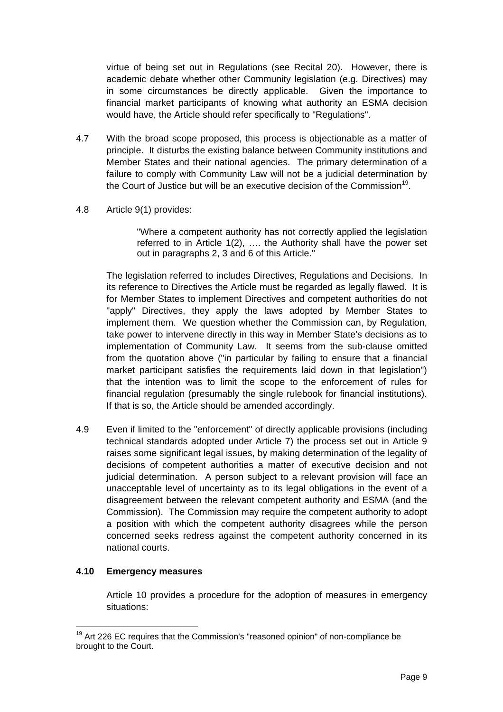virtue of being set out in Regulations (see Recital 20). However, there is academic debate whether other Community legislation (e.g. Directives) may in some circumstances be directly applicable. Given the importance to financial market participants of knowing what authority an ESMA decision would have, the Article should refer specifically to "Regulations".

- 4.7 With the broad scope proposed, this process is objectionable as a matter of principle. It disturbs the existing balance between Community institutions and Member States and their national agencies. The primary determination of a failure to comply with Community Law will not be a judicial determination by the Court of Justice but will be an executive decision of the Commission<sup>19</sup>.
- 4.8 Article 9(1) provides:

"Where a competent authority has not correctly applied the legislation referred to in Article 1(2), …. the Authority shall have the power set out in paragraphs 2, 3 and 6 of this Article."

The legislation referred to includes Directives, Regulations and Decisions. In its reference to Directives the Article must be regarded as legally flawed. It is for Member States to implement Directives and competent authorities do not "apply" Directives, they apply the laws adopted by Member States to implement them. We question whether the Commission can, by Regulation, take power to intervene directly in this way in Member State's decisions as to implementation of Community Law. It seems from the sub-clause omitted from the quotation above ("in particular by failing to ensure that a financial market participant satisfies the requirements laid down in that legislation") that the intention was to limit the scope to the enforcement of rules for financial regulation (presumably the single rulebook for financial institutions). If that is so, the Article should be amended accordingly.

4.9 Even if limited to the "enforcement" of directly applicable provisions (including technical standards adopted under Article 7) the process set out in Article 9 raises some significant legal issues, by making determination of the legality of decisions of competent authorities a matter of executive decision and not judicial determination. A person subject to a relevant provision will face an unacceptable level of uncertainty as to its legal obligations in the event of a disagreement between the relevant competent authority and ESMA (and the Commission). The Commission may require the competent authority to adopt a position with which the competent authority disagrees while the person concerned seeks redress against the competent authority concerned in its national courts.

#### **4.10 Emergency measures**

Article 10 provides a procedure for the adoption of measures in emergency situations:

<span id="page-8-0"></span> $19$  Art 226 EC requires that the Commission's "reasoned opinion" of non-compliance be brought to the Court.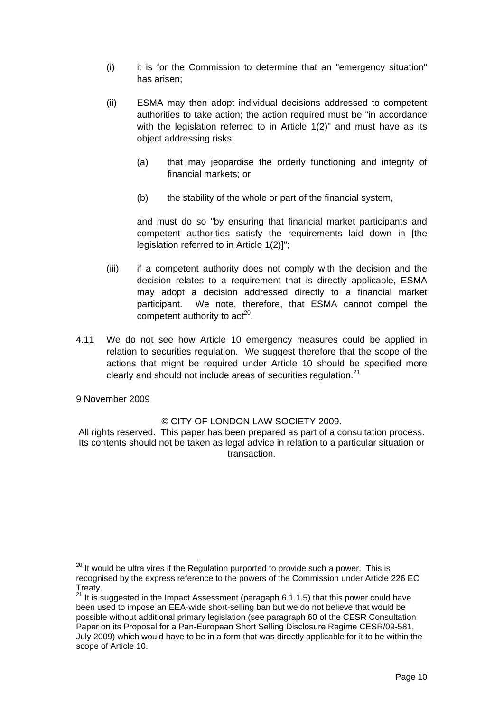- (i) it is for the Commission to determine that an "emergency situation" has arisen;
- (ii) ESMA may then adopt individual decisions addressed to competent authorities to take action; the action required must be "in accordance with the legislation referred to in Article 1(2)" and must have as its object addressing risks:
	- (a) that may jeopardise the orderly functioning and integrity of financial markets; or
	- (b) the stability of the whole or part of the financial system,

and must do so "by ensuring that financial market participants and competent authorities satisfy the requirements laid down in [the legislation referred to in Article 1(2)]";

- (iii) if a competent authority does not comply with the decision and the decision relates to a requirement that is directly applicable, ESMA may adopt a decision addressed directly to a financial market participant. We note, therefore, that ESMA cannot compel the competent authority to  $act<sup>20</sup>$ .
- 4.11 We do not see how Article 10 emergency measures could be applied in relation to securities regulation. We suggest therefore that the scope of the actions that might be required under Article 10 should be specified more clearly and should not include areas of securities regulation. $21$

9 November 2009

#### © CITY OF LONDON LAW SOCIETY 2009.

All rights reserved. This paper has been prepared as part of a consultation process. Its contents should not be taken as legal advice in relation to a particular situation or transaction.

<span id="page-9-0"></span> $20$  It would be ultra vires if the Regulation purported to provide such a power. This is recognised by the express reference to the powers of the Commission under Article 226 EC Treaty.

<span id="page-9-1"></span> $21$  It is suggested in the Impact Assessment (paragaph 6.1.1.5) that this power could have been used to impose an EEA-wide short-selling ban but we do not believe that would be possible without additional primary legislation (see paragraph 60 of the CESR Consultation Paper on its Proposal for a Pan-European Short Selling Disclosure Regime CESR/09-581, July 2009) which would have to be in a form that was directly applicable for it to be within the scope of Article 10.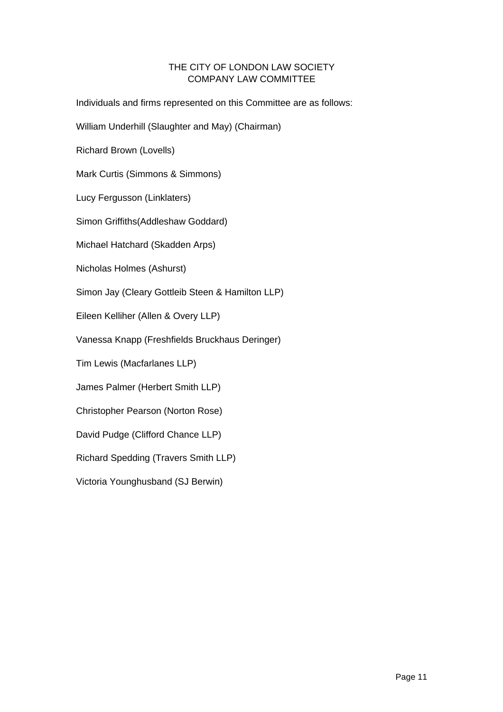# THE CITY OF LONDON LAW SOCIETY COMPANY LAW COMMITTEE

Individuals and firms represented on this Committee are as follows:

William Underhill (Slaughter and May) (Chairman)

Richard Brown (Lovells)

Mark Curtis (Simmons & Simmons)

Lucy Fergusson (Linklaters)

Simon Griffiths(Addleshaw Goddard)

Michael Hatchard (Skadden Arps)

Nicholas Holmes (Ashurst)

Simon Jay (Cleary Gottleib Steen & Hamilton LLP)

Eileen Kelliher (Allen & Overy LLP)

Vanessa Knapp (Freshfields Bruckhaus Deringer)

Tim Lewis (Macfarlanes LLP)

James Palmer (Herbert Smith LLP)

Christopher Pearson (Norton Rose)

David Pudge (Clifford Chance LLP)

Richard Spedding (Travers Smith LLP)

Victoria Younghusband (SJ Berwin)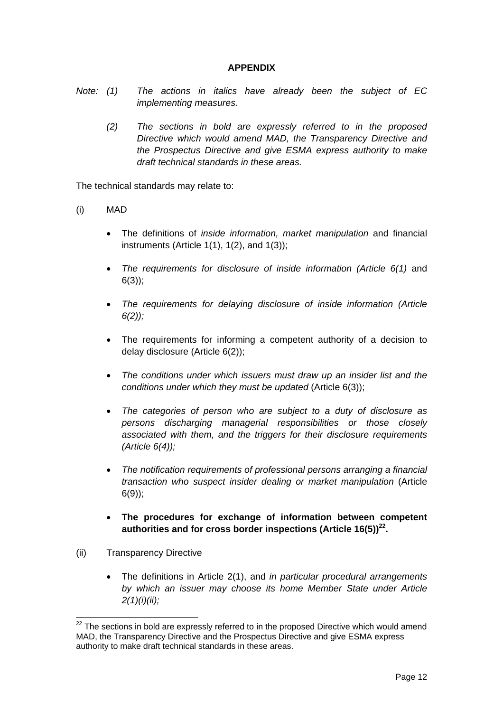# **APPENDIX**

- *Note: (1) The actions in italics have already been the subject of EC implementing measures.* 
	- *(2) The sections in bold are expressly referred to in the proposed Directive which would amend MAD, the Transparency Directive and the Prospectus Directive and give ESMA express authority to make draft technical standards in these areas.*

The technical standards may relate to:

- (i) MAD
	- The definitions of *inside information, market manipulation* and financial instruments (Article  $1(1)$ ,  $1(2)$ , and  $1(3)$ );
	- *The requirements for disclosure of inside information (Article 6(1)* and  $6(3)$ ;
	- *The requirements for delaying disclosure of inside information (Article 6(2));*
	- The requirements for informing a competent authority of a decision to delay disclosure (Article 6(2));
	- *The conditions under which issuers must draw up an insider list and the conditions under which they must be updated* (Article 6(3));
	- *The categories of person who are subject to a duty of disclosure as persons discharging managerial responsibilities or those closely associated with them, and the triggers for their disclosure requirements (Article 6(4));*
	- *The notification requirements of professional persons arranging a financial transaction who suspect insider dealing or market manipulation* (Article 6(9));
	- **The procedures for exchange of information between competent authorities and for cross border inspections (Article 16(5))[22.](#page-11-0)**
- (ii) Transparency Directive
	- The definitions in Article 2(1), and *in particular procedural arrangements by which an issuer may choose its home Member State under Article 2(1)(i)(ii);*

<span id="page-11-0"></span> $22$  The sections in bold are expressly referred to in the proposed Directive which would amend MAD, the Transparency Directive and the Prospectus Directive and give ESMA express authority to make draft technical standards in these areas.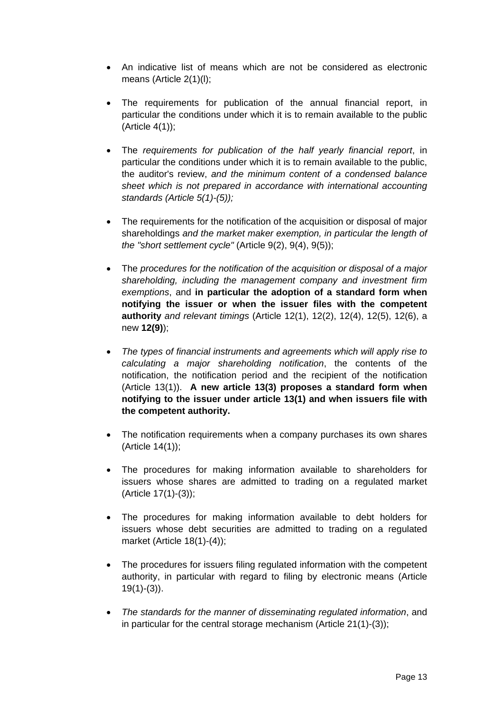- An indicative list of means which are not be considered as electronic means (Article 2(1)(l);
- The requirements for publication of the annual financial report, in particular the conditions under which it is to remain available to the public (Article 4(1));
- The *requirements for publication of the half yearly financial report*, in particular the conditions under which it is to remain available to the public, the auditor's review, *and the minimum content of a condensed balance sheet which is not prepared in accordance with international accounting standards (Article 5(1)-(5));*
- The requirements for the notification of the acquisition or disposal of major shareholdings *and the market maker exemption, in particular the length of the "short settlement cycle"* (Article 9(2), 9(4), 9(5));
- The *procedures for the notification of the acquisition or disposal of a major shareholding, including the management company and investment firm exemptions*, and **in particular the adoption of a standard form when notifying the issuer or when the issuer files with the competent authority** *and relevant timings* (Article 12(1), 12(2), 12(4), 12(5), 12(6), a new **12(9)**);
- *The types of financial instruments and agreements which will apply rise to calculating a major shareholding notification*, the contents of the notification, the notification period and the recipient of the notification (Article 13(1)). **A new article 13(3) proposes a standard form when notifying to the issuer under article 13(1) and when issuers file with the competent authority.**
- The notification requirements when a company purchases its own shares (Article 14(1));
- The procedures for making information available to shareholders for issuers whose shares are admitted to trading on a regulated market (Article 17(1)-(3));
- The procedures for making information available to debt holders for issuers whose debt securities are admitted to trading on a regulated market (Article 18(1)-(4));
- The procedures for issuers filing regulated information with the competent authority, in particular with regard to filing by electronic means (Article  $19(1)-(3)$ ).
- *The standards for the manner of disseminating regulated information*, and in particular for the central storage mechanism (Article 21(1)-(3));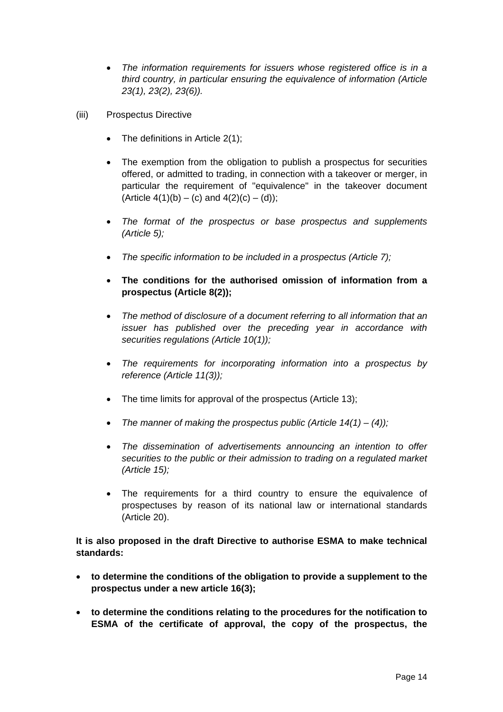- *The information requirements for issuers whose registered office is in a third country, in particular ensuring the equivalence of information (Article 23(1), 23(2), 23(6)).*
- (iii) Prospectus Directive
	- The definitions in Article  $2(1)$ ;
	- The exemption from the obligation to publish a prospectus for securities offered, or admitted to trading, in connection with a takeover or merger, in particular the requirement of "equivalence" in the takeover document (Article 4(1)(b) – (c) and  $4(2)(c) - (d)$ ;
	- *The format of the prospectus or base prospectus and supplements (Article 5);*
	- *The specific information to be included in a prospectus (Article 7);*
	- **The conditions for the authorised omission of information from a prospectus (Article 8(2));**
	- *The method of disclosure of a document referring to all information that an issuer has published over the preceding year in accordance with securities regulations (Article 10(1));*
	- *The requirements for incorporating information into a prospectus by reference (Article 11(3));*
	- The time limits for approval of the prospectus (Article 13);
	- *The manner of making the prospectus public (Article 14(1) (4));*
	- *The dissemination of advertisements announcing an intention to offer securities to the public or their admission to trading on a regulated market (Article 15);*
	- The requirements for a third country to ensure the equivalence of prospectuses by reason of its national law or international standards (Article 20).

**It is also proposed in the draft Directive to authorise ESMA to make technical standards:** 

- **to determine the conditions of the obligation to provide a supplement to the prospectus under a new article 16(3);**
- **to determine the conditions relating to the procedures for the notification to ESMA of the certificate of approval, the copy of the prospectus, the**